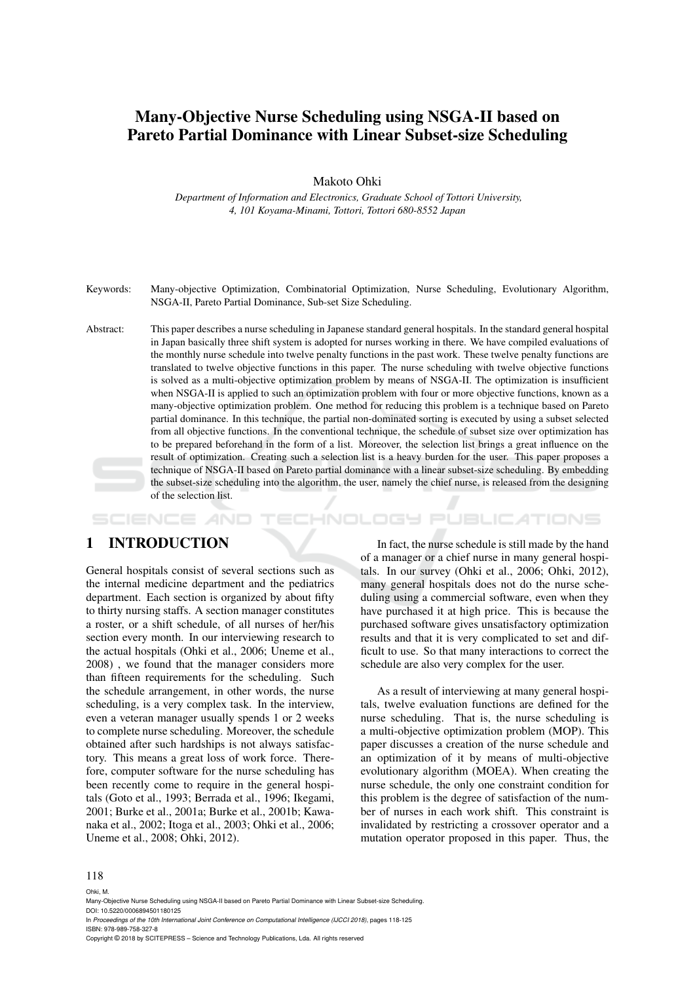# Many-Objective Nurse Scheduling using NSGA-II based on Pareto Partial Dominance with Linear Subset-size Scheduling

Makoto Ohki

*Department of Information and Electronics, Graduate School of Tottori University, 4, 101 Koyama-Minami, Tottori, Tottori 680-8552 Japan*

Keywords: Many-objective Optimization, Combinatorial Optimization, Nurse Scheduling, Evolutionary Algorithm, NSGA-II, Pareto Partial Dominance, Sub-set Size Scheduling.

Abstract: This paper describes a nurse scheduling in Japanese standard general hospitals. In the standard general hospital in Japan basically three shift system is adopted for nurses working in there. We have compiled evaluations of the monthly nurse schedule into twelve penalty functions in the past work. These twelve penalty functions are translated to twelve objective functions in this paper. The nurse scheduling with twelve objective functions is solved as a multi-objective optimization problem by means of NSGA-II. The optimization is insufficient when NSGA-II is applied to such an optimization problem with four or more objective functions, known as a many-objective optimization problem. One method for reducing this problem is a technique based on Pareto partial dominance. In this technique, the partial non-dominated sorting is executed by using a subset selected from all objective functions. In the conventional technique, the schedule of subset size over optimization has to be prepared beforehand in the form of a list. Moreover, the selection list brings a great influence on the result of optimization. Creating such a selection list is a heavy burden for the user. This paper proposes a technique of NSGA-II based on Pareto partial dominance with a linear subset-size scheduling. By embedding the subset-size scheduling into the algorithm, the user, namely the chief nurse, is released from the designing of the selection list.

### 1 INTRODUCTION

General hospitals consist of several sections such as the internal medicine department and the pediatrics department. Each section is organized by about fifty to thirty nursing staffs. A section manager constitutes a roster, or a shift schedule, of all nurses of her/his section every month. In our interviewing research to the actual hospitals (Ohki et al., 2006; Uneme et al., 2008) , we found that the manager considers more than fifteen requirements for the scheduling. Such the schedule arrangement, in other words, the nurse scheduling, is a very complex task. In the interview, even a veteran manager usually spends 1 or 2 weeks to complete nurse scheduling. Moreover, the schedule obtained after such hardships is not always satisfactory. This means a great loss of work force. Therefore, computer software for the nurse scheduling has been recently come to require in the general hospitals (Goto et al., 1993; Berrada et al., 1996; Ikegami, 2001; Burke et al., 2001a; Burke et al., 2001b; Kawanaka et al., 2002; Itoga et al., 2003; Ohki et al., 2006; Uneme et al., 2008; Ohki, 2012).

In fact, the nurse schedule is still made by the hand of a manager or a chief nurse in many general hospitals. In our survey (Ohki et al., 2006; Ohki, 2012), many general hospitals does not do the nurse scheduling using a commercial software, even when they have purchased it at high price. This is because the purchased software gives unsatisfactory optimization results and that it is very complicated to set and difficult to use. So that many interactions to correct the schedule are also very complex for the user.

HNOLOGY PUBLICATIONS

As a result of interviewing at many general hospitals, twelve evaluation functions are defined for the nurse scheduling. That is, the nurse scheduling is a multi-objective optimization problem (MOP). This paper discusses a creation of the nurse schedule and an optimization of it by means of multi-objective evolutionary algorithm (MOEA). When creating the nurse schedule, the only one constraint condition for this problem is the degree of satisfaction of the number of nurses in each work shift. This constraint is invalidated by restricting a crossover operator and a mutation operator proposed in this paper. Thus, the

#### 118

Ohki, M.

Many-Objective Nurse Scheduling using NSGA-II based on Pareto Partial Dominance with Linear Subset-size Scheduling. DOI: 10.5220/0006894501180125

In *Proceedings of the 10th International Joint Conference on Computational Intelligence (IJCCI 2018)*, pages 118-125 ISBN: 978-989-758-327-8

Copyright © 2018 by SCITEPRESS – Science and Technology Publications, Lda. All rights reserved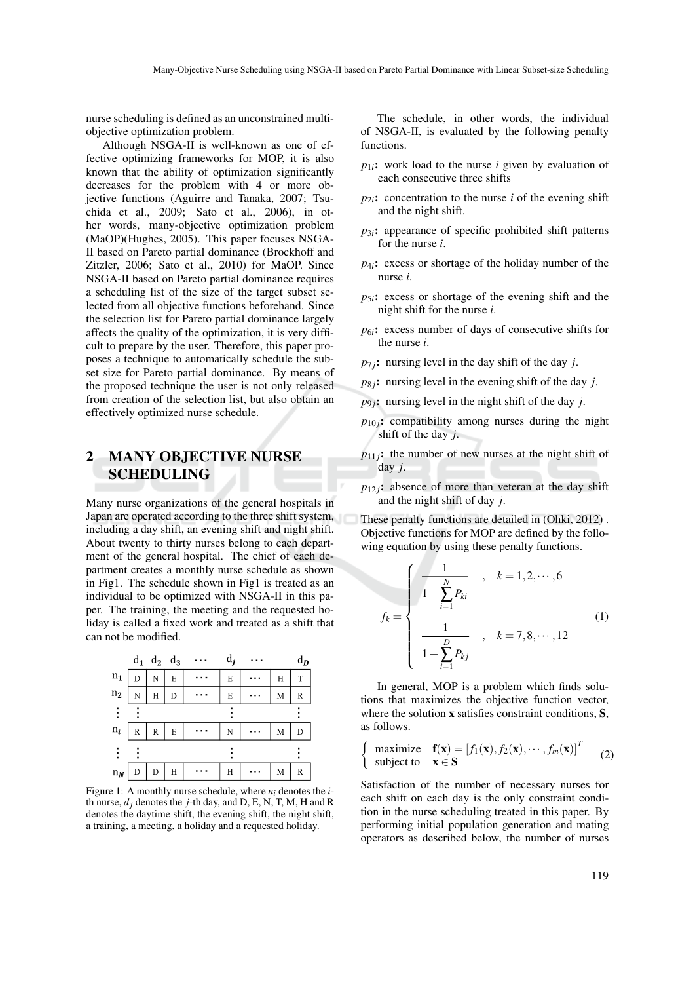nurse scheduling is defined as an unconstrained multiobjective optimization problem.

Although NSGA-II is well-known as one of effective optimizing frameworks for MOP, it is also known that the ability of optimization significantly decreases for the problem with 4 or more objective functions (Aguirre and Tanaka, 2007; Tsuchida et al., 2009; Sato et al., 2006), in other words, many-objective optimization problem (MaOP)(Hughes, 2005). This paper focuses NSGA-II based on Pareto partial dominance (Brockhoff and Zitzler, 2006; Sato et al., 2010) for MaOP. Since NSGA-II based on Pareto partial dominance requires a scheduling list of the size of the target subset selected from all objective functions beforehand. Since the selection list for Pareto partial dominance largely affects the quality of the optimization, it is very difficult to prepare by the user. Therefore, this paper proposes a technique to automatically schedule the subset size for Pareto partial dominance. By means of the proposed technique the user is not only released from creation of the selection list, but also obtain an effectively optimized nurse schedule.

## 2 MANY OBJECTIVE NURSE SCHEDULING

Many nurse organizations of the general hospitals in Japan are operated according to the three shift system, including a day shift, an evening shift and night shift. About twenty to thirty nurses belong to each department of the general hospital. The chief of each department creates a monthly nurse schedule as shown in Fig1. The schedule shown in Fig1 is treated as an individual to be optimized with NSGA-II in this paper. The training, the meeting and the requested holiday is called a fixed work and treated as a shift that can not be modified.



Figure 1: A monthly nurse schedule, where *ni* denotes the *i*th nurse,  $d_i$  denotes the *j*-th day, and D, E, N, T, M, H and R denotes the daytime shift, the evening shift, the night shift, a training, a meeting, a holiday and a requested holiday.

The schedule, in other words, the individual of NSGA-II, is evaluated by the following penalty functions.

- $p_{1i}$ : work load to the nurse *i* given by evaluation of each consecutive three shifts
- $p_{2i}$ : concentration to the nurse *i* of the evening shift and the night shift.
- $p_{3i}$ : appearance of specific prohibited shift patterns for the nurse *i*.
- *p*4*i*: excess or shortage of the holiday number of the nurse *i*.
- $p_{5i}$ : excess or shortage of the evening shift and the night shift for the nurse *i*.
- $p_{6i}$ : excess number of days of consecutive shifts for the nurse *i*.
- $p_{7i}$ : nursing level in the day shift of the day *j*.
- $p_{8j}$ : nursing level in the evening shift of the day *j*.
- $p_{9j}$ : nursing level in the night shift of the day *j*.
- $p_{10}$ : compatibility among nurses during the night shift of the day *j*.
- $p_{11}$ ; the number of new nurses at the night shift of day *j*.
- $p_{12}$ *j*: absence of more than veteran at the day shift and the night shift of day *j*.

These penalty functions are detailed in (Ohki, 2012) . Objective functions for MOP are defined by the following equation by using these penalty functions.

$$
f_k = \begin{cases} \frac{1}{1 + \sum_{i=1}^{N} P_{ki}} & , \quad k = 1, 2, \cdots, 6 \\ \frac{1}{1 + \sum_{i=1}^{D} P_{kj}} & , \quad k = 7, 8, \cdots, 12 \end{cases}
$$
(1)

In general, MOP is a problem which finds solutions that maximizes the objective function vector, where the solution **x** satisfies constraint conditions, **S**, as follows.

$$
\begin{cases}\n\text{maximize} & \mathbf{f}(\mathbf{x}) = [f_1(\mathbf{x}), f_2(\mathbf{x}), \cdots, f_m(\mathbf{x})]^T\\ \n\text{subject to} & \mathbf{x} \in \mathbf{S}\n\end{cases} (2)
$$

Satisfaction of the number of necessary nurses for each shift on each day is the only constraint condition in the nurse scheduling treated in this paper. By performing initial population generation and mating operators as described below, the number of nurses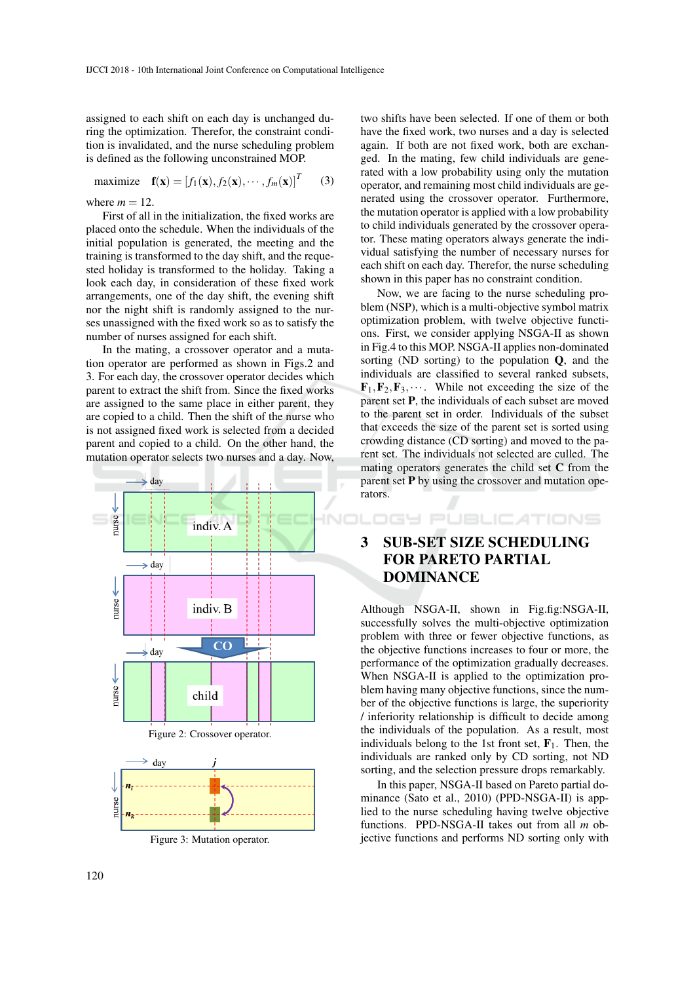assigned to each shift on each day is unchanged during the optimization. Therefor, the constraint condition is invalidated, and the nurse scheduling problem is defined as the following unconstrained MOP.

maximize 
$$
\mathbf{f}(\mathbf{x}) = [f_1(\mathbf{x}), f_2(\mathbf{x}), \cdots, f_m(\mathbf{x})]^T
$$
 (3)

where  $m = 12$ .

First of all in the initialization, the fixed works are placed onto the schedule. When the individuals of the initial population is generated, the meeting and the training is transformed to the day shift, and the requested holiday is transformed to the holiday. Taking a look each day, in consideration of these fixed work arrangements, one of the day shift, the evening shift nor the night shift is randomly assigned to the nurses unassigned with the fixed work so as to satisfy the number of nurses assigned for each shift.

In the mating, a crossover operator and a mutation operator are performed as shown in Figs.2 and 3. For each day, the crossover operator decides which parent to extract the shift from. Since the fixed works are assigned to the same place in either parent, they are copied to a child. Then the shift of the nurse who is not assigned fixed work is selected from a decided parent and copied to a child. On the other hand, the mutation operator selects two nurses and a day. Now,



Figure 3: Mutation operator.

two shifts have been selected. If one of them or both have the fixed work, two nurses and a day is selected again. If both are not fixed work, both are exchanged. In the mating, few child individuals are generated with a low probability using only the mutation operator, and remaining most child individuals are generated using the crossover operator. Furthermore, the mutation operator is applied with a low probability to child individuals generated by the crossover operator. These mating operators always generate the individual satisfying the number of necessary nurses for each shift on each day. Therefor, the nurse scheduling shown in this paper has no constraint condition.

Now, we are facing to the nurse scheduling problem (NSP), which is a multi-objective symbol matrix optimization problem, with twelve objective functions. First, we consider applying NSGA-II as shown in Fig.4 to this MOP. NSGA-II applies non-dominated sorting (ND sorting) to the population  $Q$ , and the individuals are classified to several ranked subsets,  $\mathbf{F}_1, \mathbf{F}_2, \mathbf{F}_3, \cdots$ . While not exceeding the size of the parent set P, the individuals of each subset are moved to the parent set in order. Individuals of the subset that exceeds the size of the parent set is sorted using crowding distance (CD sorting) and moved to the parent set. The individuals not selected are culled. The mating operators generates the child set C from the parent set  $P$  by using the crossover and mutation operators.

# 3 SUB-SET SIZE SCHEDULING FOR PARETO PARTIAL DOMINANCE

DGY PUBLICATIONS

Although NSGA-II, shown in Fig.fig:NSGA-II, successfully solves the multi-objective optimization problem with three or fewer objective functions, as the objective functions increases to four or more, the performance of the optimization gradually decreases. When NSGA-II is applied to the optimization problem having many objective functions, since the number of the objective functions is large, the superiority / inferiority relationship is difficult to decide among the individuals of the population. As a result, most individuals belong to the 1st front set,  $\mathbf{F}_1$ . Then, the individuals are ranked only by CD sorting, not ND sorting, and the selection pressure drops remarkably.

In this paper, NSGA-II based on Pareto partial dominance (Sato et al., 2010) (PPD-NSGA-II) is applied to the nurse scheduling having twelve objective functions. PPD-NSGA-II takes out from all *m* objective functions and performs ND sorting only with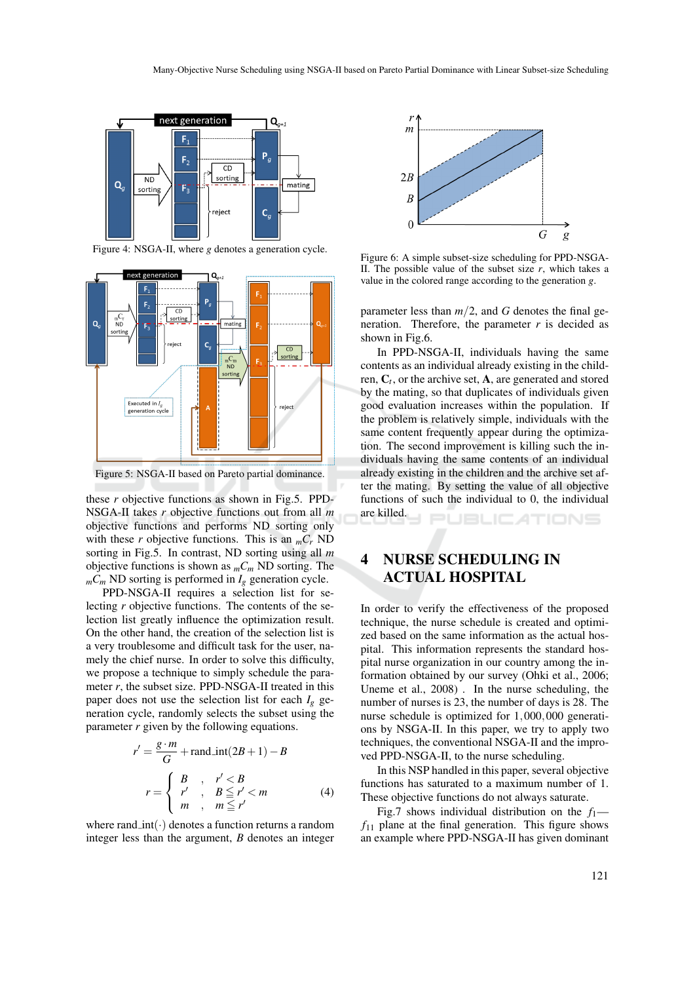

Figure 4: NSGA-II, where *g* denotes a generation cycle.



Figure 5: NSGA-II based on Pareto partial dominance.

these *r* objective functions as shown in Fig.5. PPD-NSGA-II takes *r* objective functions out from all *m* objective functions and performs ND sorting only with these *r* objective functions. This is an  $<sub>m</sub>C<sub>r</sub>$  ND</sub> sorting in Fig.5. In contrast, ND sorting using all *m* objective functions is shown as  $<sub>m</sub>C<sub>m</sub>$  ND sorting. The</sub>  $_{m}C_{m}$  ND sorting is performed in  $I_{g}$  generation cycle.

PPD-NSGA-II requires a selection list for selecting *r* objective functions. The contents of the selection list greatly influence the optimization result. On the other hand, the creation of the selection list is a very troublesome and difficult task for the user, namely the chief nurse. In order to solve this difficulty, we propose a technique to simply schedule the parameter  $r$ , the subset size. PPD-NSGA-II treated in this paper does not use the selection list for each  $I_g$  generation cycle, randomly selects the subset using the parameter *r* given by the following equations.

$$
r' = \frac{g \cdot m}{G} + \text{rand.int}(2B + 1) - B
$$

$$
r = \begin{cases} B, & r' < B \\ r', & B \le r' < m \\ m, & m \le r' \end{cases}
$$
(4)

where rand  $\text{int}(\cdot)$  denotes a function returns a random integer less than the argument, *B* denotes an integer



Figure 6: A simple subset-size scheduling for PPD-NSGA-II. The possible value of the subset size  $r$ , which takes a value in the colored range according to the generation *g*.

parameter less than  $m/2$ , and *G* denotes the final generation. Therefore, the parameter  $r$  is decided as shown in Fig.6.

In PPD-NSGA-II, individuals having the same contents as an individual already existing in the children, C*<sup>t</sup>* , or the archive set, A, are generated and stored by the mating, so that duplicates of individuals given good evaluation increases within the population. If the problem is relatively simple, individuals with the same content frequently appear during the optimization. The second improvement is killing such the individuals having the same contents of an individual already existing in the children and the archive set after the mating. By setting the value of all objective functions of such the individual to 0, the individual are killed. **JBLIC ATIONS** 

# 4 NURSE SCHEDULING IN ACTUAL HOSPITAL

In order to verify the effectiveness of the proposed technique, the nurse schedule is created and optimized based on the same information as the actual hospital. This information represents the standard hospital nurse organization in our country among the information obtained by our survey (Ohki et al., 2006; Uneme et al., 2008) . In the nurse scheduling, the number of nurses is 23, the number of days is 28. The nurse schedule is optimized for 1,000,000 generations by NSGA-II. In this paper, we try to apply two techniques, the conventional NSGA-II and the improved PPD-NSGA-II, to the nurse scheduling.

In this NSP handled in this paper, several objective functions has saturated to a maximum number of 1. These objective functions do not always saturate.

Fig.7 shows individual distribution on the  $f_1$   $f_{11}$  plane at the final generation. This figure shows an example where PPD-NSGA-II has given dominant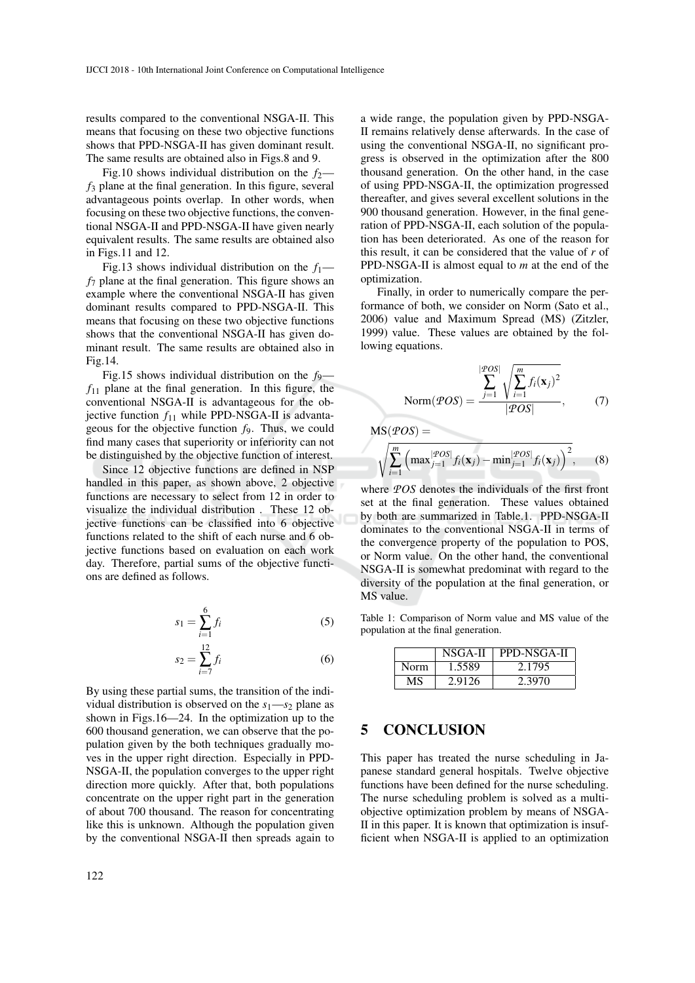results compared to the conventional NSGA-II. This means that focusing on these two objective functions shows that PPD-NSGA-II has given dominant result. The same results are obtained also in Figs.8 and 9.

Fig.10 shows individual distribution on the  $f_2$  *f*<sup>3</sup> plane at the final generation. In this figure, several advantageous points overlap. In other words, when focusing on these two objective functions, the conventional NSGA-II and PPD-NSGA-II have given nearly equivalent results. The same results are obtained also in Figs.11 and 12.

Fig.13 shows individual distribution on the  $f_1$  *f*<sup>7</sup> plane at the final generation. This figure shows an example where the conventional NSGA-II has given dominant results compared to PPD-NSGA-II. This means that focusing on these two objective functions shows that the conventional NSGA-II has given dominant result. The same results are obtained also in Fig.14.

Fig.15 shows individual distribution on the *f*9  $f_{11}$  plane at the final generation. In this figure, the conventional NSGA-II is advantageous for the objective function  $f_{11}$  while PPD-NSGA-II is advantageous for the objective function *f*9. Thus, we could find many cases that superiority or inferiority can not be distinguished by the objective function of interest.

Since 12 objective functions are defined in NSP handled in this paper, as shown above, 2 objective functions are necessary to select from 12 in order to visualize the individual distribution . These 12 objective functions can be classified into 6 objective functions related to the shift of each nurse and 6 objective functions based on evaluation on each work day. Therefore, partial sums of the objective functions are defined as follows.

$$
s_1 = \sum_{i=1}^{6} f_i \tag{5}
$$

$$
s_2 = \sum_{i=7}^{12} f_i
$$
 (6)

By using these partial sums, the transition of the individual distribution is observed on the  $s_1 \rightarrow s_2$  plane as shown in Figs.16—24. In the optimization up to the 600 thousand generation, we can observe that the population given by the both techniques gradually moves in the upper right direction. Especially in PPD-NSGA-II, the population converges to the upper right direction more quickly. After that, both populations concentrate on the upper right part in the generation of about 700 thousand. The reason for concentrating like this is unknown. Although the population given by the conventional NSGA-II then spreads again to

a wide range, the population given by PPD-NSGA-II remains relatively dense afterwards. In the case of using the conventional NSGA-II, no significant progress is observed in the optimization after the 800 thousand generation. On the other hand, in the case of using PPD-NSGA-II, the optimization progressed thereafter, and gives several excellent solutions in the 900 thousand generation. However, in the final generation of PPD-NSGA-II, each solution of the population has been deteriorated. As one of the reason for this result, it can be considered that the value of *r* of PPD-NSGA-II is almost equal to *m* at the end of the optimization.

Finally, in order to numerically compare the performance of both, we consider on Norm (Sato et al., 2006) value and Maximum Spread (MS) (Zitzler, 1999) value. These values are obtained by the following equations.

$$
Norm(\mathcal{POS}) = \frac{\sum_{j=1}^{|\mathcal{POS}|} \sqrt{\sum_{i=1}^{m} f_i(\mathbf{x}_j)^2}}{|\mathcal{POS}|},
$$
 (7)

, (8)

$$
MS(POS) = \sqrt{\sum_{i=1}^{m} \left( \max_{j=1}^{|POS|} f_i(\mathbf{x}_j) - \min_{j=1}^{|POS|} f_i(\mathbf{x}_j) \right)^2}
$$

where *POS* denotes the individuals of the first front set at the final generation. These values obtained by both are summarized in Table.1. PPD-NSGA-II dominates to the conventional NSGA-II in terms of the convergence property of the population to POS, or Norm value. On the other hand, the conventional NSGA-II is somewhat predominat with regard to the diversity of the population at the final generation, or MS value.

Table 1: Comparison of Norm value and MS value of the population at the final generation.

|      | NSGA-II | PPD-NSGA-II |
|------|---------|-------------|
| Norm | 1.5589  | 2.1795      |
| МS   | 2.9126  | 2.3970      |

### 5 CONCLUSION

This paper has treated the nurse scheduling in Japanese standard general hospitals. Twelve objective functions have been defined for the nurse scheduling. The nurse scheduling problem is solved as a multiobjective optimization problem by means of NSGA-II in this paper. It is known that optimization is insufficient when NSGA-II is applied to an optimization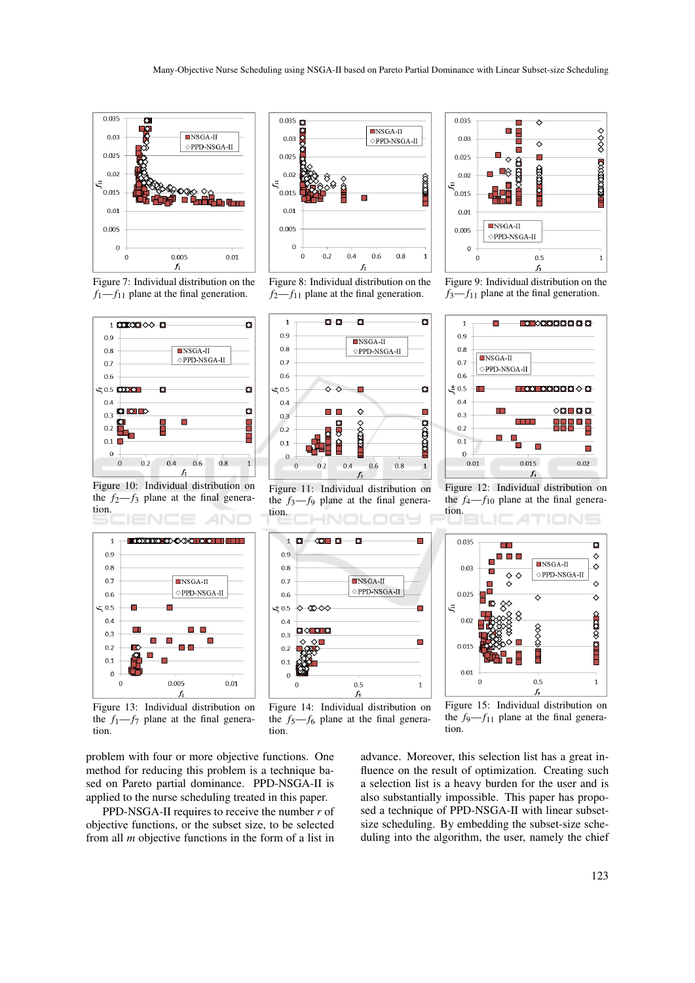

Figure 7: Individual distribution on the  $f_1$ — $f_{11}$  plane at the final generation.



Figure 10: Individual distribution on the  $f_2-f_3$  plane at the final generation.



Figure 13: Individual distribution on the  $f_1-f_7$  plane at the final generation.

problem with four or more objective functions. One method for reducing this problem is a technique based on Pareto partial dominance. PPD-NSGA-II is applied to the nurse scheduling treated in this paper.

PPD-NSGA-II requires to receive the number *r* of objective functions, or the subset size, to be selected from all *m* objective functions in the form of a list in



Figure 8: Individual distribution on the  $f_2$ — $f_{11}$  plane at the final generation.



Figure 11: Individual distribution on the  $f_3$ — $f_9$  plane at the final generation.







Figure 9: Individual distribution on the  $f_3$ — $f_{11}$  plane at the final generation.



Figure 12: Individual distribution on the  $f_4-f_{10}$  plane at the final generation.





advance. Moreover, this selection list has a great influence on the result of optimization. Creating such a selection list is a heavy burden for the user and is also substantially impossible. This paper has proposed a technique of PPD-NSGA-II with linear subsetsize scheduling. By embedding the subset-size scheduling into the algorithm, the user, namely the chief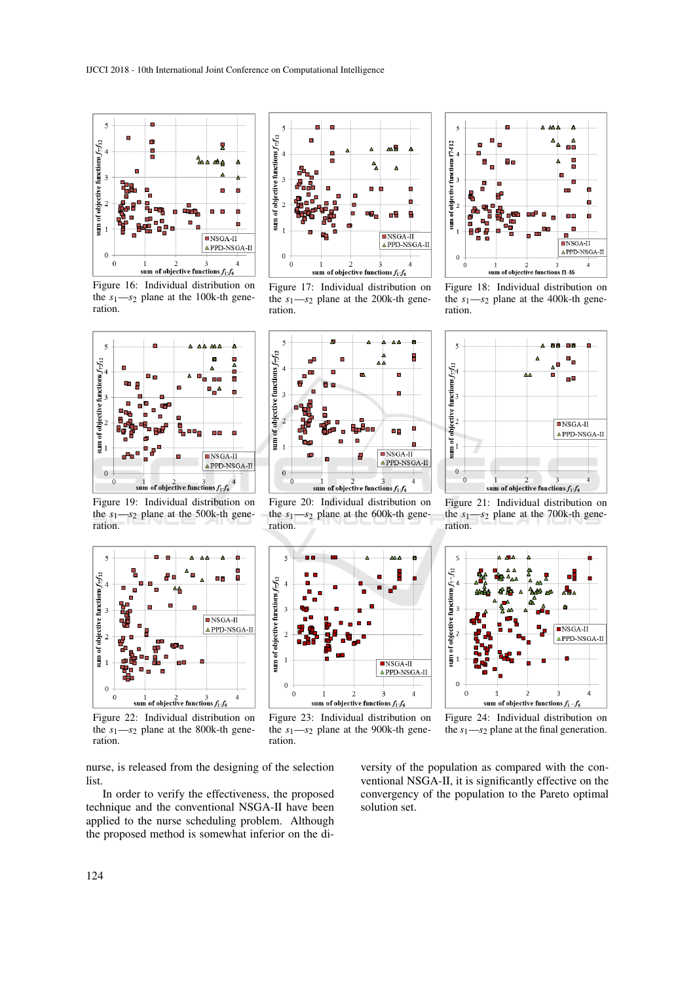

Figure 16: Individual distribution on the  $s_1$ — $s_2$  plane at the 100k-th generation.



Figure 17: Individual distribution on the *s*1—*s*<sup>2</sup> plane at the 200k-th generation.



Figure 19: Individual distribution on the *s*1—*s*<sup>2</sup> plane at the 500k-th generation.



Figure 20: Individual distribution on the  $s_1$ — $s_2$  plane at the 600k-th generation.



Figure 18: Individual distribution on the *s*1—*s*<sup>2</sup> plane at the 400k-th generation.



Figure 21: Individual distribution on the  $s_1$ — $s_2$  plane at the 700k-th generation.



Figure 22: Individual distribution on the *s*1—*s*<sup>2</sup> plane at the 800k-th generation.



Figure 23: Individual distribution on the *s*1—*s*<sup>2</sup> plane at the 900k-th generation.





nurse, is released from the designing of the selection list.

In order to verify the effectiveness, the proposed technique and the conventional NSGA-II have been applied to the nurse scheduling problem. Although the proposed method is somewhat inferior on the diversity of the population as compared with the conventional NSGA-II, it is significantly effective on the convergency of the population to the Pareto optimal solution set.